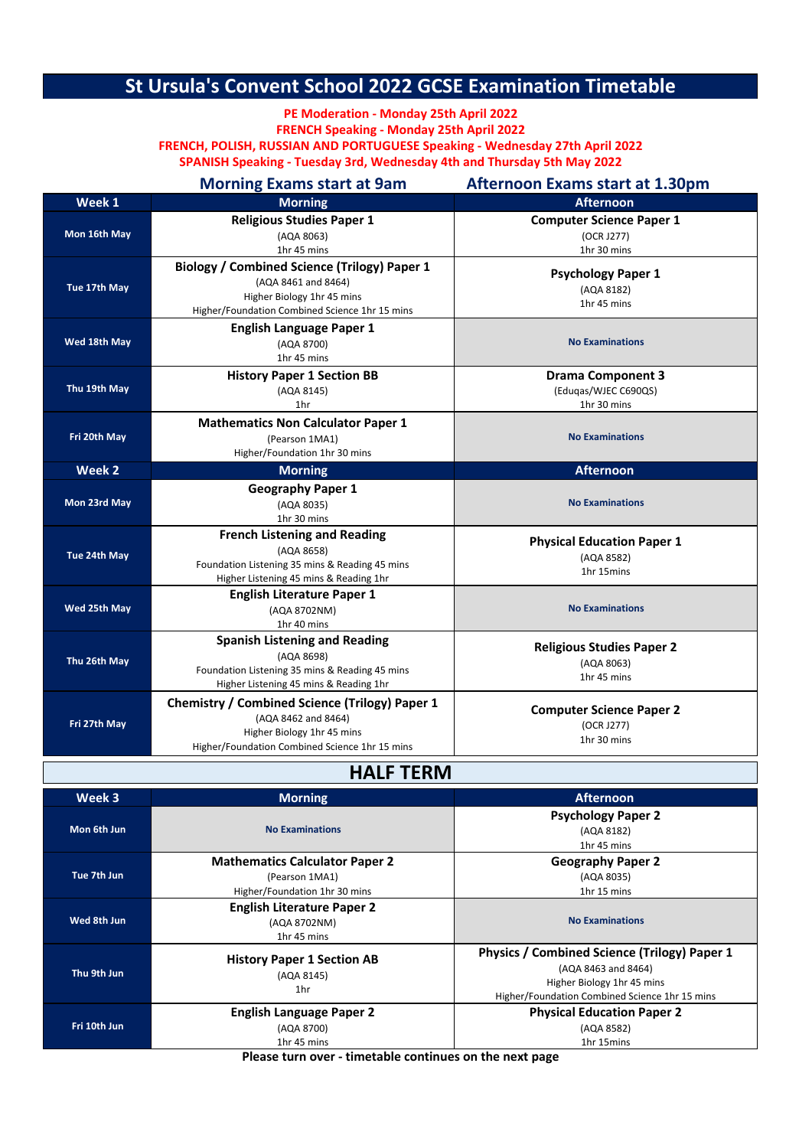## **St Ursula's Convent School 2022 GCSE Examination Timetable**

**FRENCH Speaking - Monday 25th April 2022 FRENCH, POLISH, RUSSIAN AND PORTUGUESE Speaking - Wednesday 27th April 2022 PE Moderation - Monday 25th April 2022**

**SPANISH Speaking - Tuesday 3rd, Wednesday 4th and Thursday 5th May 2022**

|              | <b>Morning Exams start at 9am</b>                                                                                                                          | <b>Afternoon Exams start at 1.30pm</b>                          |
|--------------|------------------------------------------------------------------------------------------------------------------------------------------------------------|-----------------------------------------------------------------|
| Week 1       | <b>Morning</b>                                                                                                                                             | <b>Afternoon</b>                                                |
| Mon 16th May | <b>Religious Studies Paper 1</b><br>(AQA 8063)<br>1hr 45 mins                                                                                              | <b>Computer Science Paper 1</b><br>(OCR J277)<br>1hr 30 mins    |
| Tue 17th May | <b>Biology / Combined Science (Trilogy) Paper 1</b><br>(AQA 8461 and 8464)<br>Higher Biology 1hr 45 mins<br>Higher/Foundation Combined Science 1hr 15 mins | <b>Psychology Paper 1</b><br>(AQA 8182)<br>1hr 45 mins          |
| Wed 18th May | <b>English Language Paper 1</b><br>(AQA 8700)<br>1hr 45 mins                                                                                               | <b>No Examinations</b>                                          |
| Thu 19th May | <b>History Paper 1 Section BB</b><br>(AQA 8145)<br>1hr                                                                                                     | <b>Drama Component 3</b><br>(Eduqas/WJEC C690QS)<br>1hr 30 mins |
| Fri 20th May | <b>Mathematics Non Calculator Paper 1</b><br>(Pearson 1MA1)<br>Higher/Foundation 1hr 30 mins                                                               | <b>No Examinations</b>                                          |
| Week 2       | <b>Morning</b>                                                                                                                                             | <b>Afternoon</b>                                                |
|              |                                                                                                                                                            |                                                                 |
| Mon 23rd May | <b>Geography Paper 1</b><br>(AQA 8035)<br>1hr 30 mins                                                                                                      | <b>No Examinations</b>                                          |
| Tue 24th May | <b>French Listening and Reading</b><br>(AQA 8658)<br>Foundation Listening 35 mins & Reading 45 mins<br>Higher Listening 45 mins & Reading 1hr              | <b>Physical Education Paper 1</b><br>(AQA 8582)<br>1hr 15mins   |
| Wed 25th May | <b>English Literature Paper 1</b><br>(AQA 8702NM)<br>1hr 40 mins                                                                                           | <b>No Examinations</b>                                          |
| Thu 26th May | <b>Spanish Listening and Reading</b><br>(AQA 8698)<br>Foundation Listening 35 mins & Reading 45 mins<br>Higher Listening 45 mins & Reading 1hr             | <b>Religious Studies Paper 2</b><br>(AQA 8063)<br>1hr 45 mins   |

**HALF TERM**

| Week 3       | <b>Morning</b>                                                                           | <b>Afternoon</b>                                                                                                                                    |
|--------------|------------------------------------------------------------------------------------------|-----------------------------------------------------------------------------------------------------------------------------------------------------|
| Mon 6th Jun  | <b>No Examinations</b>                                                                   | <b>Psychology Paper 2</b><br>(AQA 8182)<br>1hr 45 mins                                                                                              |
| Tue 7th Jun  | <b>Mathematics Calculator Paper 2</b><br>(Pearson 1MA1)<br>Higher/Foundation 1hr 30 mins | <b>Geography Paper 2</b><br>(AQA 8035)<br>1hr 15 mins                                                                                               |
| Wed 8th Jun  | <b>English Literature Paper 2</b><br>(AQA 8702NM)<br>1hr 45 mins                         | <b>No Examinations</b>                                                                                                                              |
| Thu 9th Jun  | <b>History Paper 1 Section AB</b><br>(AQA 8145)<br>1hr                                   | Physics / Combined Science (Trilogy) Paper 1<br>(AQA 8463 and 8464)<br>Higher Biology 1hr 45 mins<br>Higher/Foundation Combined Science 1hr 15 mins |
| Fri 10th Jun | <b>English Language Paper 2</b><br>(AQA 8700)<br>1hr 45 mins                             | <b>Physical Education Paper 2</b><br>(AQA 8582)<br>1hr 15mins                                                                                       |

**Please turn over - timetable continues on the next page**